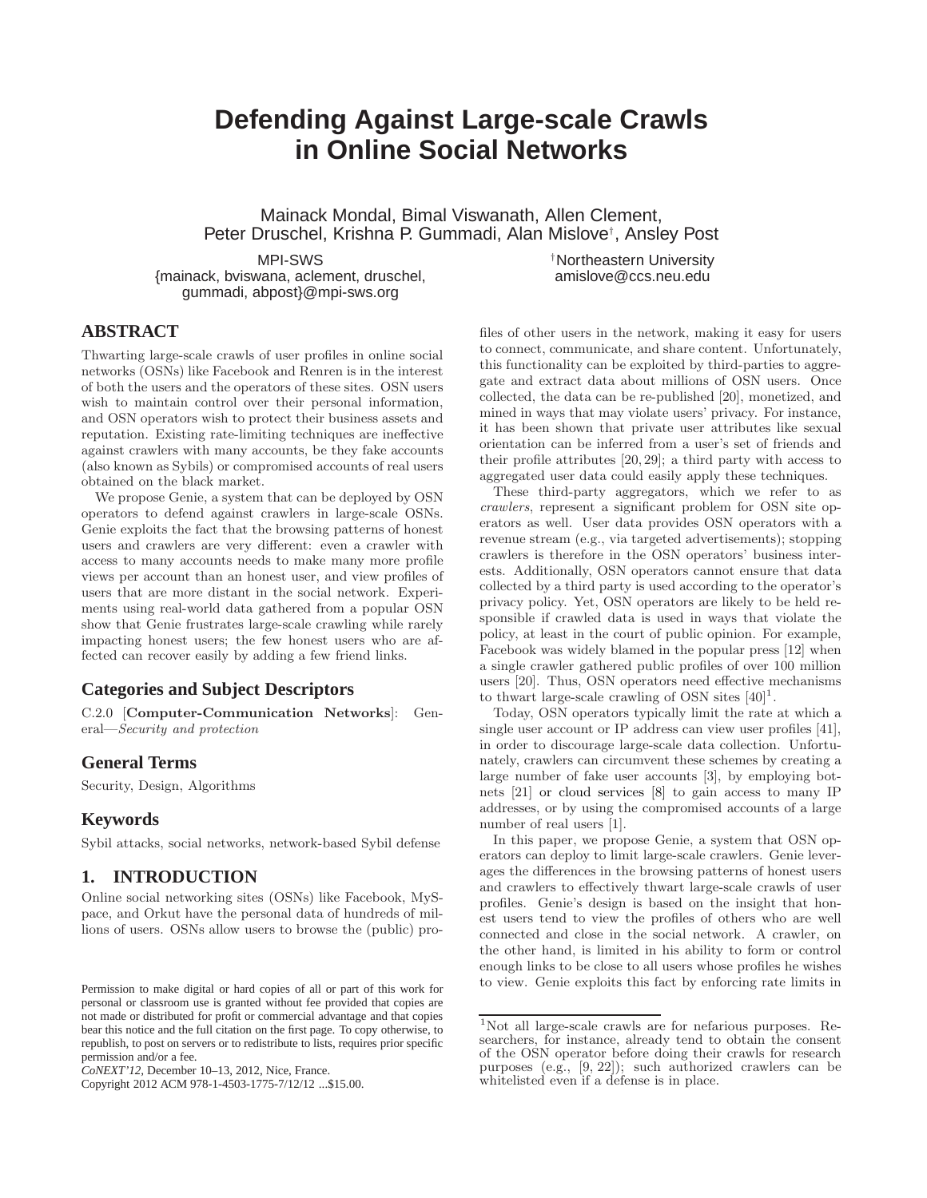# **Defending Against Large-scale Crawls in Online Social Networks**

Mainack Mondal, Bimal Viswanath, Allen Clement, Peter Druschel, Krishna P. Gummadi, Alan Mislove† , Ansley Post

MPI-SWS {mainack, bviswana, aclement, druschel, gummadi, abpost}@mpi-sws.org

†Northeastern University amislove@ccs.neu.edu

# **ABSTRACT**

Thwarting large-scale crawls of user profiles in online social networks (OSNs) like Facebook and Renren is in the interest of both the users and the operators of these sites. OSN users wish to maintain control over their personal information, and OSN operators wish to protect their business assets and reputation. Existing rate-limiting techniques are ineffective against crawlers with many accounts, be they fake accounts (also known as Sybils) or compromised accounts of real users obtained on the black market.

We propose Genie, a system that can be deployed by OSN operators to defend against crawlers in large-scale OSNs. Genie exploits the fact that the browsing patterns of honest users and crawlers are very different: even a crawler with access to many accounts needs to make many more profile views per account than an honest user, and view profiles of users that are more distant in the social network. Experiments using real-world data gathered from a popular OSN show that Genie frustrates large-scale crawling while rarely impacting honest users; the few honest users who are affected can recover easily by adding a few friend links.

## **Categories and Subject Descriptors**

C.2.0 [Computer-Communication Networks]: General—Security and protection

#### **General Terms**

Security, Design, Algorithms

## **Keywords**

Sybil attacks, social networks, network-based Sybil defense

#### **1. INTRODUCTION**

Online social networking sites (OSNs) like Facebook, MySpace, and Orkut have the personal data of hundreds of millions of users. OSNs allow users to browse the (public) pro-

Copyright 2012 ACM 978-1-4503-1775-7/12/12 ...\$15.00.

files of other users in the network, making it easy for users to connect, communicate, and share content. Unfortunately, this functionality can be exploited by third-parties to aggregate and extract data about millions of OSN users. Once collected, the data can be re-published [20], monetized, and mined in ways that may violate users' privacy. For instance, it has been shown that private user attributes like sexual orientation can be inferred from a user's set of friends and their profile attributes [20, 29]; a third party with access to aggregated user data could easily apply these techniques.

These third-party aggregators, which we refer to as crawlers, represent a significant problem for OSN site operators as well. User data provides OSN operators with a revenue stream (e.g., via targeted advertisements); stopping crawlers is therefore in the OSN operators' business interests. Additionally, OSN operators cannot ensure that data collected by a third party is used according to the operator's privacy policy. Yet, OSN operators are likely to be held responsible if crawled data is used in ways that violate the policy, at least in the court of public opinion. For example, Facebook was widely blamed in the popular press [12] when a single crawler gathered public profiles of over 100 million users [20]. Thus, OSN operators need effective mechanisms to thwart large-scale crawling of OSN sites  $[40]$ <sup>1</sup>.

Today, OSN operators typically limit the rate at which a single user account or IP address can view user profiles [41], in order to discourage large-scale data collection. Unfortunately, crawlers can circumvent these schemes by creating a large number of fake user accounts [3], by employing botnets [21] or cloud services [8] to gain access to many IP addresses, or by using the compromised accounts of a large number of real users [1].

In this paper, we propose Genie, a system that OSN operators can deploy to limit large-scale crawlers. Genie leverages the differences in the browsing patterns of honest users and crawlers to effectively thwart large-scale crawls of user profiles. Genie's design is based on the insight that honest users tend to view the profiles of others who are well connected and close in the social network. A crawler, on the other hand, is limited in his ability to form or control enough links to be close to all users whose profiles he wishes to view. Genie exploits this fact by enforcing rate limits in

Permission to make digital or hard copies of all or part of this work for personal or classroom use is granted without fee provided that copies are not made or distributed for profit or commercial advantage and that copies bear this notice and the full citation on the first page. To copy otherwise, to republish, to post on servers or to redistribute to lists, requires prior specific permission and/or a fee.

*CoNEXT'12,* December 10–13, 2012, Nice, France.

<sup>1</sup>Not all large-scale crawls are for nefarious purposes. Researchers, for instance, already tend to obtain the consent of the OSN operator before doing their crawls for research purposes (e.g., [9, 22]); such authorized crawlers can be whitelisted even if a defense is in place.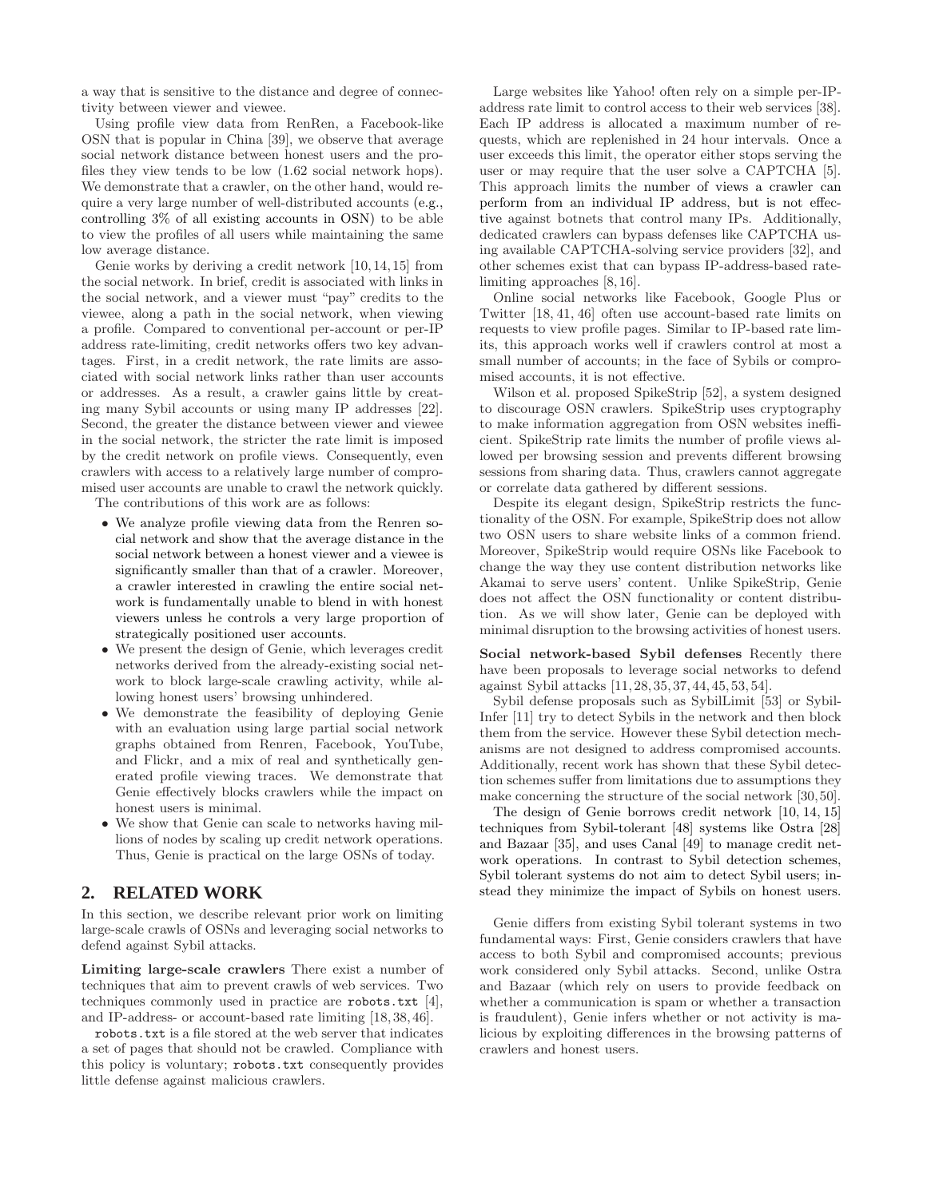a way that is sensitive to the distance and degree of connectivity between viewer and viewee.

Using profile view data from RenRen, a Facebook-like OSN that is popular in China [39], we observe that average social network distance between honest users and the profiles they view tends to be low (1.62 social network hops). We demonstrate that a crawler, on the other hand, would require a very large number of well-distributed accounts (e.g., controlling 3% of all existing accounts in OSN) to be able to view the profiles of all users while maintaining the same low average distance.

Genie works by deriving a credit network [10, 14, 15] from the social network. In brief, credit is associated with links in the social network, and a viewer must "pay" credits to the viewee, along a path in the social network, when viewing a profile. Compared to conventional per-account or per-IP address rate-limiting, credit networks offers two key advantages. First, in a credit network, the rate limits are associated with social network links rather than user accounts or addresses. As a result, a crawler gains little by creating many Sybil accounts or using many IP addresses [22]. Second, the greater the distance between viewer and viewee in the social network, the stricter the rate limit is imposed by the credit network on profile views. Consequently, even crawlers with access to a relatively large number of compromised user accounts are unable to crawl the network quickly. The contributions of this work are as follows:

- We analyze profile viewing data from the Renren social network and show that the average distance in the social network between a honest viewer and a viewee is significantly smaller than that of a crawler. Moreover, a crawler interested in crawling the entire social network is fundamentally unable to blend in with honest viewers unless he controls a very large proportion of strategically positioned user accounts.
- We present the design of Genie, which leverages credit networks derived from the already-existing social network to block large-scale crawling activity, while allowing honest users' browsing unhindered.
- We demonstrate the feasibility of deploying Genie with an evaluation using large partial social network graphs obtained from Renren, Facebook, YouTube, and Flickr, and a mix of real and synthetically generated profile viewing traces. We demonstrate that Genie effectively blocks crawlers while the impact on honest users is minimal.
- We show that Genie can scale to networks having millions of nodes by scaling up credit network operations. Thus, Genie is practical on the large OSNs of today.

## **2. RELATED WORK**

In this section, we describe relevant prior work on limiting large-scale crawls of OSNs and leveraging social networks to defend against Sybil attacks.

Limiting large-scale crawlers There exist a number of techniques that aim to prevent crawls of web services. Two techniques commonly used in practice are robots.txt [4], and IP-address- or account-based rate limiting [18, 38, 46].

robots.txt is a file stored at the web server that indicates a set of pages that should not be crawled. Compliance with this policy is voluntary; robots.txt consequently provides little defense against malicious crawlers.

Large websites like Yahoo! often rely on a simple per-IPaddress rate limit to control access to their web services [38]. Each IP address is allocated a maximum number of requests, which are replenished in 24 hour intervals. Once a user exceeds this limit, the operator either stops serving the user or may require that the user solve a CAPTCHA [5]. This approach limits the number of views a crawler can perform from an individual IP address, but is not effective against botnets that control many IPs. Additionally, dedicated crawlers can bypass defenses like CAPTCHA using available CAPTCHA-solving service providers [32], and other schemes exist that can bypass IP-address-based ratelimiting approaches [8, 16].

Online social networks like Facebook, Google Plus or Twitter [18, 41, 46] often use account-based rate limits on requests to view profile pages. Similar to IP-based rate limits, this approach works well if crawlers control at most a small number of accounts; in the face of Sybils or compromised accounts, it is not effective.

Wilson et al. proposed SpikeStrip [52], a system designed to discourage OSN crawlers. SpikeStrip uses cryptography to make information aggregation from OSN websites inefficient. SpikeStrip rate limits the number of profile views allowed per browsing session and prevents different browsing sessions from sharing data. Thus, crawlers cannot aggregate or correlate data gathered by different sessions.

Despite its elegant design, SpikeStrip restricts the functionality of the OSN. For example, SpikeStrip does not allow two OSN users to share website links of a common friend. Moreover, SpikeStrip would require OSNs like Facebook to change the way they use content distribution networks like Akamai to serve users' content. Unlike SpikeStrip, Genie does not affect the OSN functionality or content distribution. As we will show later, Genie can be deployed with minimal disruption to the browsing activities of honest users.

Social network-based Sybil defenses Recently there have been proposals to leverage social networks to defend against Sybil attacks [11, 28, 35, 37, 44, 45, 53, 54].

Sybil defense proposals such as SybilLimit [53] or Sybil-Infer [11] try to detect Sybils in the network and then block them from the service. However these Sybil detection mechanisms are not designed to address compromised accounts. Additionally, recent work has shown that these Sybil detection schemes suffer from limitations due to assumptions they make concerning the structure of the social network [30, 50].

The design of Genie borrows credit network [10, 14, 15] techniques from Sybil-tolerant [48] systems like Ostra [28] and Bazaar [35], and uses Canal [49] to manage credit network operations. In contrast to Sybil detection schemes, Sybil tolerant systems do not aim to detect Sybil users; instead they minimize the impact of Sybils on honest users.

Genie differs from existing Sybil tolerant systems in two fundamental ways: First, Genie considers crawlers that have access to both Sybil and compromised accounts; previous work considered only Sybil attacks. Second, unlike Ostra and Bazaar (which rely on users to provide feedback on whether a communication is spam or whether a transaction is fraudulent), Genie infers whether or not activity is malicious by exploiting differences in the browsing patterns of crawlers and honest users.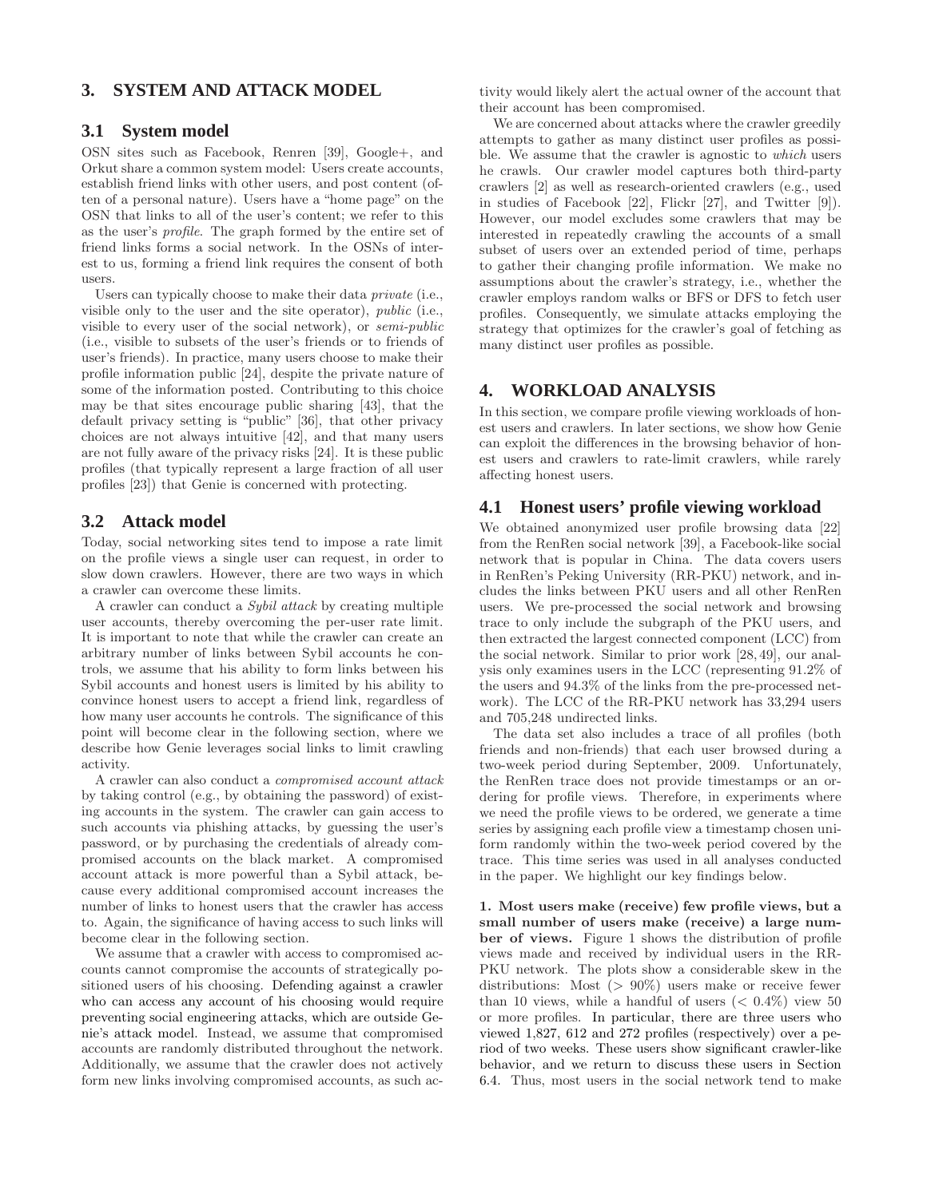## **3. SYSTEM AND ATTACK MODEL**

## **3.1 System model**

OSN sites such as Facebook, Renren [39], Google+, and Orkut share a common system model: Users create accounts, establish friend links with other users, and post content (often of a personal nature). Users have a "home page" on the OSN that links to all of the user's content; we refer to this as the user's profile. The graph formed by the entire set of friend links forms a social network. In the OSNs of interest to us, forming a friend link requires the consent of both users.

Users can typically choose to make their data private (i.e., visible only to the user and the site operator), public (i.e., visible to every user of the social network), or semi-public (i.e., visible to subsets of the user's friends or to friends of user's friends). In practice, many users choose to make their profile information public [24], despite the private nature of some of the information posted. Contributing to this choice may be that sites encourage public sharing [43], that the default privacy setting is "public" [36], that other privacy choices are not always intuitive [42], and that many users are not fully aware of the privacy risks [24]. It is these public profiles (that typically represent a large fraction of all user profiles [23]) that Genie is concerned with protecting.

## **3.2 Attack model**

Today, social networking sites tend to impose a rate limit on the profile views a single user can request, in order to slow down crawlers. However, there are two ways in which a crawler can overcome these limits.

A crawler can conduct a Sybil attack by creating multiple user accounts, thereby overcoming the per-user rate limit. It is important to note that while the crawler can create an arbitrary number of links between Sybil accounts he controls, we assume that his ability to form links between his Sybil accounts and honest users is limited by his ability to convince honest users to accept a friend link, regardless of how many user accounts he controls. The significance of this point will become clear in the following section, where we describe how Genie leverages social links to limit crawling activity.

A crawler can also conduct a compromised account attack by taking control (e.g., by obtaining the password) of existing accounts in the system. The crawler can gain access to such accounts via phishing attacks, by guessing the user's password, or by purchasing the credentials of already compromised accounts on the black market. A compromised account attack is more powerful than a Sybil attack, because every additional compromised account increases the number of links to honest users that the crawler has access to. Again, the significance of having access to such links will become clear in the following section.

We assume that a crawler with access to compromised accounts cannot compromise the accounts of strategically positioned users of his choosing. Defending against a crawler who can access any account of his choosing would require preventing social engineering attacks, which are outside Genie's attack model. Instead, we assume that compromised accounts are randomly distributed throughout the network. Additionally, we assume that the crawler does not actively form new links involving compromised accounts, as such activity would likely alert the actual owner of the account that their account has been compromised.

We are concerned about attacks where the crawler greedily attempts to gather as many distinct user profiles as possible. We assume that the crawler is agnostic to which users he crawls. Our crawler model captures both third-party crawlers [2] as well as research-oriented crawlers (e.g., used in studies of Facebook [22], Flickr [27], and Twitter [9]). However, our model excludes some crawlers that may be interested in repeatedly crawling the accounts of a small subset of users over an extended period of time, perhaps to gather their changing profile information. We make no assumptions about the crawler's strategy, i.e., whether the crawler employs random walks or BFS or DFS to fetch user profiles. Consequently, we simulate attacks employing the strategy that optimizes for the crawler's goal of fetching as many distinct user profiles as possible.

## **4. WORKLOAD ANALYSIS**

In this section, we compare profile viewing workloads of honest users and crawlers. In later sections, we show how Genie can exploit the differences in the browsing behavior of honest users and crawlers to rate-limit crawlers, while rarely affecting honest users.

## **4.1 Honest users' profile viewing workload**

We obtained anonymized user profile browsing data [22] from the RenRen social network [39], a Facebook-like social network that is popular in China. The data covers users in RenRen's Peking University (RR-PKU) network, and includes the links between PKU users and all other RenRen users. We pre-processed the social network and browsing trace to only include the subgraph of the PKU users, and then extracted the largest connected component (LCC) from the social network. Similar to prior work [28, 49], our analysis only examines users in the LCC (representing 91.2% of the users and 94.3% of the links from the pre-processed network). The LCC of the RR-PKU network has 33,294 users and 705,248 undirected links.

The data set also includes a trace of all profiles (both friends and non-friends) that each user browsed during a two-week period during September, 2009. Unfortunately, the RenRen trace does not provide timestamps or an ordering for profile views. Therefore, in experiments where we need the profile views to be ordered, we generate a time series by assigning each profile view a timestamp chosen uniform randomly within the two-week period covered by the trace. This time series was used in all analyses conducted in the paper. We highlight our key findings below.

1. Most users make (receive) few profile views, but a small number of users make (receive) a large number of views. Figure 1 shows the distribution of profile views made and received by individual users in the RR-PKU network. The plots show a considerable skew in the distributions: Most  $(> 90\%)$  users make or receive fewer than 10 views, while a handful of users  $( $0.4\%$ )$  view 50 or more profiles. In particular, there are three users who viewed 1,827, 612 and 272 profiles (respectively) over a period of two weeks. These users show significant crawler-like behavior, and we return to discuss these users in Section 6.4. Thus, most users in the social network tend to make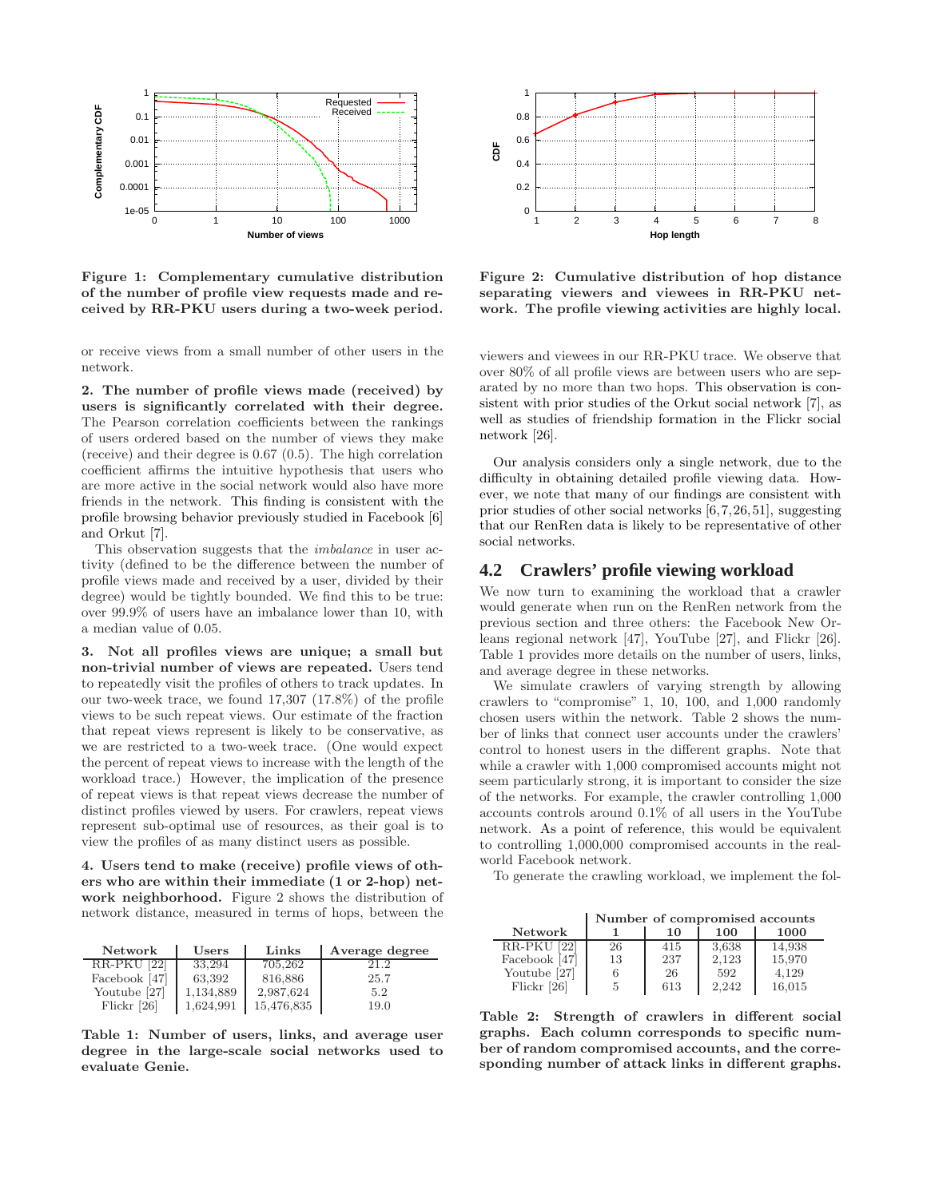

Figure 1: Complementary cumulative distribution of the number of profile view requests made and received by RR-PKU users during a two-week period.

or receive views from a small number of other users in the network.

2. The number of profile views made (received) by users is significantly correlated with their degree. The Pearson correlation coefficients between the rankings of users ordered based on the number of views they make (receive) and their degree is 0.67 (0.5). The high correlation coefficient affirms the intuitive hypothesis that users who are more active in the social network would also have more friends in the network. This finding is consistent with the profile browsing behavior previously studied in Facebook [6] and Orkut [7].

This observation suggests that the imbalance in user activity (defined to be the difference between the number of profile views made and received by a user, divided by their degree) would be tightly bounded. We find this to be true: over 99.9% of users have an imbalance lower than 10, with a median value of 0.05.

3. Not all profiles views are unique; a small but non-trivial number of views are repeated. Users tend to repeatedly visit the profiles of others to track updates. In our two-week trace, we found 17,307 (17.8%) of the profile views to be such repeat views. Our estimate of the fraction that repeat views represent is likely to be conservative, as we are restricted to a two-week trace. (One would expect the percent of repeat views to increase with the length of the workload trace.) However, the implication of the presence of repeat views is that repeat views decrease the number of distinct profiles viewed by users. For crawlers, repeat views represent sub-optimal use of resources, as their goal is to view the profiles of as many distinct users as possible.

4. Users tend to make (receive) profile views of others who are within their immediate (1 or 2-hop) network neighborhood. Figure 2 shows the distribution of network distance, measured in terms of hops, between the

| <b>Network</b>  | Users     | Links      | Average degree |
|-----------------|-----------|------------|----------------|
| $RR-PKU$ $[22]$ | 33,294    | 705,262    | 21.2           |
| Facebook [47]   | 63,392    | 816,886    | 25.7           |
| Youtube [27]    | 1,134,889 | 2,987,624  | 5.2            |
| Flickr [26]     | 1,624,991 | 15,476,835 | 19.0           |

Table 1: Number of users, links, and average user degree in the large-scale social networks used to evaluate Genie.



Figure 2: Cumulative distribution of hop distance separating viewers and viewees in RR-PKU network. The profile viewing activities are highly local.

viewers and viewees in our RR-PKU trace. We observe that over 80% of all profile views are between users who are separated by no more than two hops. This observation is consistent with prior studies of the Orkut social network [7], as well as studies of friendship formation in the Flickr social network [26].

Our analysis considers only a single network, due to the difficulty in obtaining detailed profile viewing data. However, we note that many of our findings are consistent with prior studies of other social networks [6,7,26,51], suggesting that our RenRen data is likely to be representative of other social networks.

#### **4.2 Crawlers' profile viewing workload**

We now turn to examining the workload that a crawler would generate when run on the RenRen network from the previous section and three others: the Facebook New Orleans regional network [47], YouTube [27], and Flickr [26]. Table 1 provides more details on the number of users, links, and average degree in these networks.

We simulate crawlers of varying strength by allowing crawlers to "compromise" 1, 10, 100, and 1,000 randomly chosen users within the network. Table 2 shows the number of links that connect user accounts under the crawlers' control to honest users in the different graphs. Note that while a crawler with 1,000 compromised accounts might not seem particularly strong, it is important to consider the size of the networks. For example, the crawler controlling 1,000 accounts controls around 0.1% of all users in the YouTube network. As a point of reference, this would be equivalent to controlling 1,000,000 compromised accounts in the realworld Facebook network.

To generate the crawling workload, we implement the fol-

|                | Number of compromised accounts |     |       |        |
|----------------|--------------------------------|-----|-------|--------|
| <b>Network</b> |                                | 10  | 100   | 1000   |
| $RR-PKU$ [22]  | 26                             | 415 | 3,638 | 14,938 |
| Facebook [47]  | 13                             | 237 | 2,123 | 15,970 |
| Youtube [27]   | 6                              | 26  | 592   | 4.129  |
| Flickr [26]    | 5                              | 613 | 2.242 | 16,015 |

Table 2: Strength of crawlers in different social graphs. Each column corresponds to specific number of random compromised accounts, and the corresponding number of attack links in different graphs.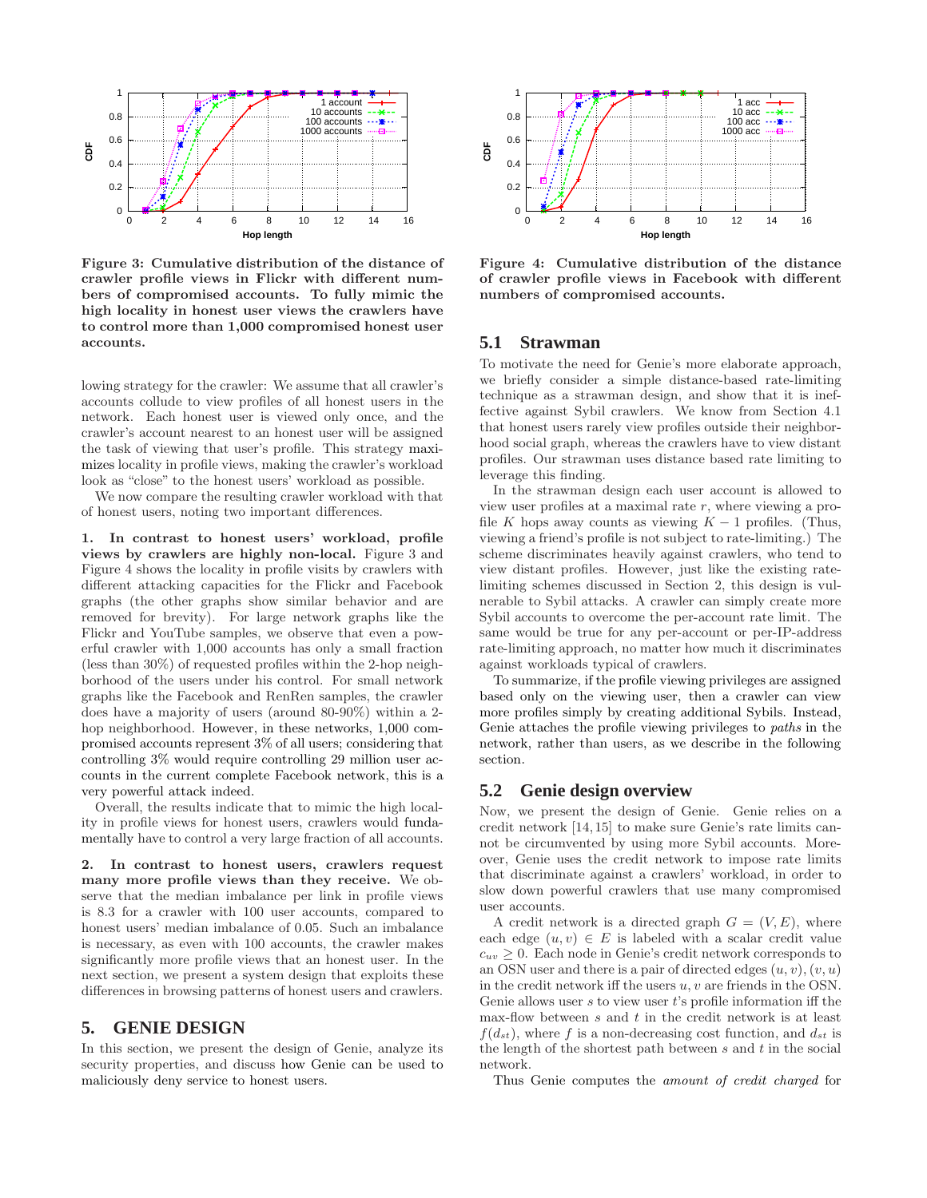

Figure 3: Cumulative distribution of the distance of crawler profile views in Flickr with different numbers of compromised accounts. To fully mimic the high locality in honest user views the crawlers have to control more than 1,000 compromised honest user accounts.

lowing strategy for the crawler: We assume that all crawler's accounts collude to view profiles of all honest users in the network. Each honest user is viewed only once, and the crawler's account nearest to an honest user will be assigned the task of viewing that user's profile. This strategy maximizes locality in profile views, making the crawler's workload look as "close" to the honest users' workload as possible.

We now compare the resulting crawler workload with that of honest users, noting two important differences.

1. In contrast to honest users' workload, profile views by crawlers are highly non-local. Figure 3 and Figure 4 shows the locality in profile visits by crawlers with different attacking capacities for the Flickr and Facebook graphs (the other graphs show similar behavior and are removed for brevity). For large network graphs like the Flickr and YouTube samples, we observe that even a powerful crawler with 1,000 accounts has only a small fraction (less than 30%) of requested profiles within the 2-hop neighborhood of the users under his control. For small network graphs like the Facebook and RenRen samples, the crawler does have a majority of users (around 80-90%) within a 2 hop neighborhood. However, in these networks, 1,000 compromised accounts represent 3% of all users; considering that controlling 3% would require controlling 29 million user accounts in the current complete Facebook network, this is a very powerful attack indeed.

Overall, the results indicate that to mimic the high locality in profile views for honest users, crawlers would fundamentally have to control a very large fraction of all accounts.

2. In contrast to honest users, crawlers request many more profile views than they receive. We observe that the median imbalance per link in profile views is 8.3 for a crawler with 100 user accounts, compared to honest users' median imbalance of 0.05. Such an imbalance is necessary, as even with 100 accounts, the crawler makes significantly more profile views that an honest user. In the next section, we present a system design that exploits these differences in browsing patterns of honest users and crawlers.

## **5. GENIE DESIGN**

In this section, we present the design of Genie, analyze its security properties, and discuss how Genie can be used to maliciously deny service to honest users.



Figure 4: Cumulative distribution of the distance of crawler profile views in Facebook with different numbers of compromised accounts.

## **5.1 Strawman**

To motivate the need for Genie's more elaborate approach, we briefly consider a simple distance-based rate-limiting technique as a strawman design, and show that it is ineffective against Sybil crawlers. We know from Section 4.1 that honest users rarely view profiles outside their neighborhood social graph, whereas the crawlers have to view distant profiles. Our strawman uses distance based rate limiting to leverage this finding.

In the strawman design each user account is allowed to view user profiles at a maximal rate  $r$ , where viewing a profile K hops away counts as viewing  $K - 1$  profiles. (Thus, viewing a friend's profile is not subject to rate-limiting.) The scheme discriminates heavily against crawlers, who tend to view distant profiles. However, just like the existing ratelimiting schemes discussed in Section 2, this design is vulnerable to Sybil attacks. A crawler can simply create more Sybil accounts to overcome the per-account rate limit. The same would be true for any per-account or per-IP-address rate-limiting approach, no matter how much it discriminates against workloads typical of crawlers.

To summarize, if the profile viewing privileges are assigned based only on the viewing user, then a crawler can view more profiles simply by creating additional Sybils. Instead, Genie attaches the profile viewing privileges to paths in the network, rather than users, as we describe in the following section.

## **5.2 Genie design overview**

Now, we present the design of Genie. Genie relies on a credit network [14, 15] to make sure Genie's rate limits cannot be circumvented by using more Sybil accounts. Moreover, Genie uses the credit network to impose rate limits that discriminate against a crawlers' workload, in order to slow down powerful crawlers that use many compromised user accounts.

A credit network is a directed graph  $G = (V, E)$ , where each edge  $(u, v) \in E$  is labeled with a scalar credit value  $c_{uv} \geq 0$ . Each node in Genie's credit network corresponds to an OSN user and there is a pair of directed edges  $(u, v), (v, u)$ in the credit network iff the users  $u, v$  are friends in the OSN. Genie allows user  $s$  to view user  $t$ 's profile information iff the max-flow between  $s$  and  $t$  in the credit network is at least  $f(d_{st})$ , where f is a non-decreasing cost function, and  $d_{st}$  is the length of the shortest path between  $s$  and  $t$  in the social network.

Thus Genie computes the amount of credit charged for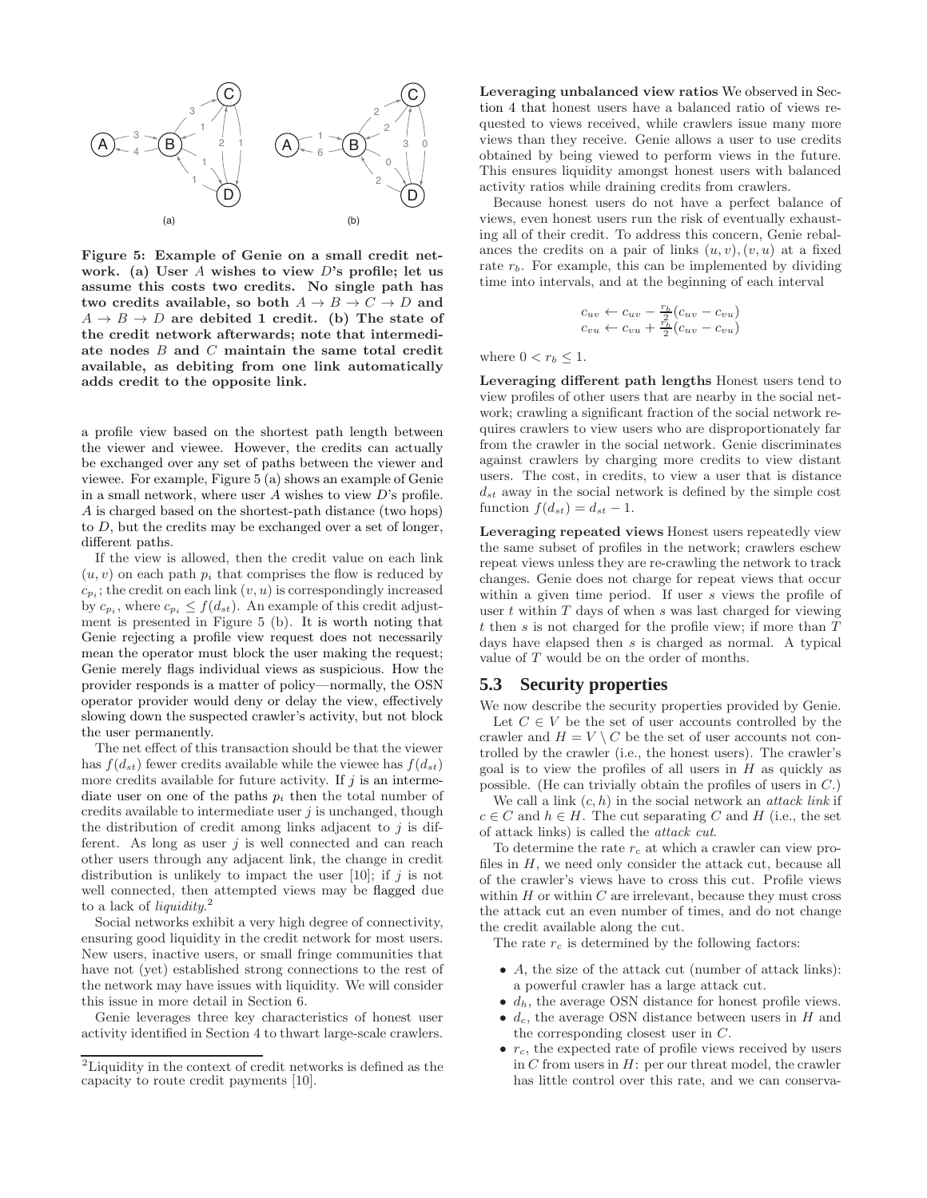

Figure 5: Example of Genie on a small credit network. (a) User A wishes to view  $D$ 's profile; let us assume this costs two credits. No single path has two credits available, so both  $A \rightarrow B \rightarrow C \rightarrow D$  and  $A \rightarrow B \rightarrow D$  are debited 1 credit. (b) The state of the credit network afterwards; note that intermediate nodes B and C maintain the same total credit available, as debiting from one link automatically adds credit to the opposite link.

a profile view based on the shortest path length between the viewer and viewee. However, the credits can actually be exchanged over any set of paths between the viewer and viewee. For example, Figure 5 (a) shows an example of Genie in a small network, where user  $A$  wishes to view  $D$ 's profile. A is charged based on the shortest-path distance (two hops) to D, but the credits may be exchanged over a set of longer, different paths.

If the view is allowed, then the credit value on each link  $(u, v)$  on each path  $p_i$  that comprises the flow is reduced by  $c_{p_i}$ ; the credit on each link  $(v, u)$  is correspondingly increased by  $c_{p_i}$ , where  $c_{p_i} \leq f(d_{st})$ . An example of this credit adjustment is presented in Figure 5 (b). It is worth noting that Genie rejecting a profile view request does not necessarily mean the operator must block the user making the request; Genie merely flags individual views as suspicious. How the provider responds is a matter of policy—normally, the OSN operator provider would deny or delay the view, effectively slowing down the suspected crawler's activity, but not block the user permanently.

The net effect of this transaction should be that the viewer has  $f(d_{st})$  fewer credits available while the viewee has  $f(d_{st})$ more credits available for future activity. If  $j$  is an intermediate user on one of the paths  $p_i$  then the total number of credits available to intermediate user  $j$  is unchanged, though the distribution of credit among links adjacent to  $j$  is different. As long as user  $j$  is well connected and can reach other users through any adjacent link, the change in credit distribution is unlikely to impact the user [10]; if  $j$  is not well connected, then attempted views may be flagged due to a lack of liquidity.<sup>2</sup>

Social networks exhibit a very high degree of connectivity, ensuring good liquidity in the credit network for most users. New users, inactive users, or small fringe communities that have not (yet) established strong connections to the rest of the network may have issues with liquidity. We will consider this issue in more detail in Section 6.

Genie leverages three key characteristics of honest user activity identified in Section 4 to thwart large-scale crawlers.

Leveraging unbalanced view ratios We observed in Section 4 that honest users have a balanced ratio of views requested to views received, while crawlers issue many more views than they receive. Genie allows a user to use credits obtained by being viewed to perform views in the future. This ensures liquidity amongst honest users with balanced activity ratios while draining credits from crawlers.

Because honest users do not have a perfect balance of views, even honest users run the risk of eventually exhausting all of their credit. To address this concern, Genie rebalances the credits on a pair of links  $(u, v), (v, u)$  at a fixed rate  $r_b$ . For example, this can be implemented by dividing time into intervals, and at the beginning of each interval

$$
c_{uv} \leftarrow c_{uv} - \frac{r_b}{2}(c_{uv} - c_{vu})
$$
  
\n
$$
c_{vu} \leftarrow c_{vu} + \frac{r_b}{2}(c_{uv} - c_{vu})
$$

where  $0 < r_b \leq 1$ .

Leveraging different path lengths Honest users tend to view profiles of other users that are nearby in the social network; crawling a significant fraction of the social network requires crawlers to view users who are disproportionately far from the crawler in the social network. Genie discriminates against crawlers by charging more credits to view distant users. The cost, in credits, to view a user that is distance  $d_{st}$  away in the social network is defined by the simple cost function  $f(d_{st}) = d_{st} - 1$ .

Leveraging repeated views Honest users repeatedly view the same subset of profiles in the network; crawlers eschew repeat views unless they are re-crawling the network to track changes. Genie does not charge for repeat views that occur within a given time period. If user s views the profile of user  $t$  within  $T$  days of when  $s$  was last charged for viewing t then s is not charged for the profile view; if more than  $T$ days have elapsed then s is charged as normal. A typical value of  $T$  would be on the order of months.

#### **5.3 Security properties**

We now describe the security properties provided by Genie. Let  $C \in V$  be the set of user accounts controlled by the crawler and  $H = V \setminus C$  be the set of user accounts not controlled by the crawler (i.e., the honest users). The crawler's goal is to view the profiles of all users in  $H$  as quickly as possible. (He can trivially obtain the profiles of users in  $C$ .)

We call a link  $(c, h)$  in the social network an *attack link* if  $c \in C$  and  $h \in H$ . The cut separating C and H (i.e., the set of attack links) is called the attack cut.

To determine the rate  $r_c$  at which a crawler can view profiles in  $H$ , we need only consider the attack cut, because all of the crawler's views have to cross this cut. Profile views within  $H$  or within  $C$  are irrelevant, because they must cross the attack cut an even number of times, and do not change the credit available along the cut.

The rate  $r_c$  is determined by the following factors:

- A, the size of the attack cut (number of attack links): a powerful crawler has a large attack cut.
- $d_h$ , the average OSN distance for honest profile views.
- $d_c$ , the average OSN distance between users in H and the corresponding closest user in C.
- $\bullet$   $r_c$ , the expected rate of profile views received by users in  $C$  from users in  $H$ : per our threat model, the crawler has little control over this rate, and we can conserva-

 $^2$  Liquidity in the context of credit networks is defined as the capacity to route credit payments [10].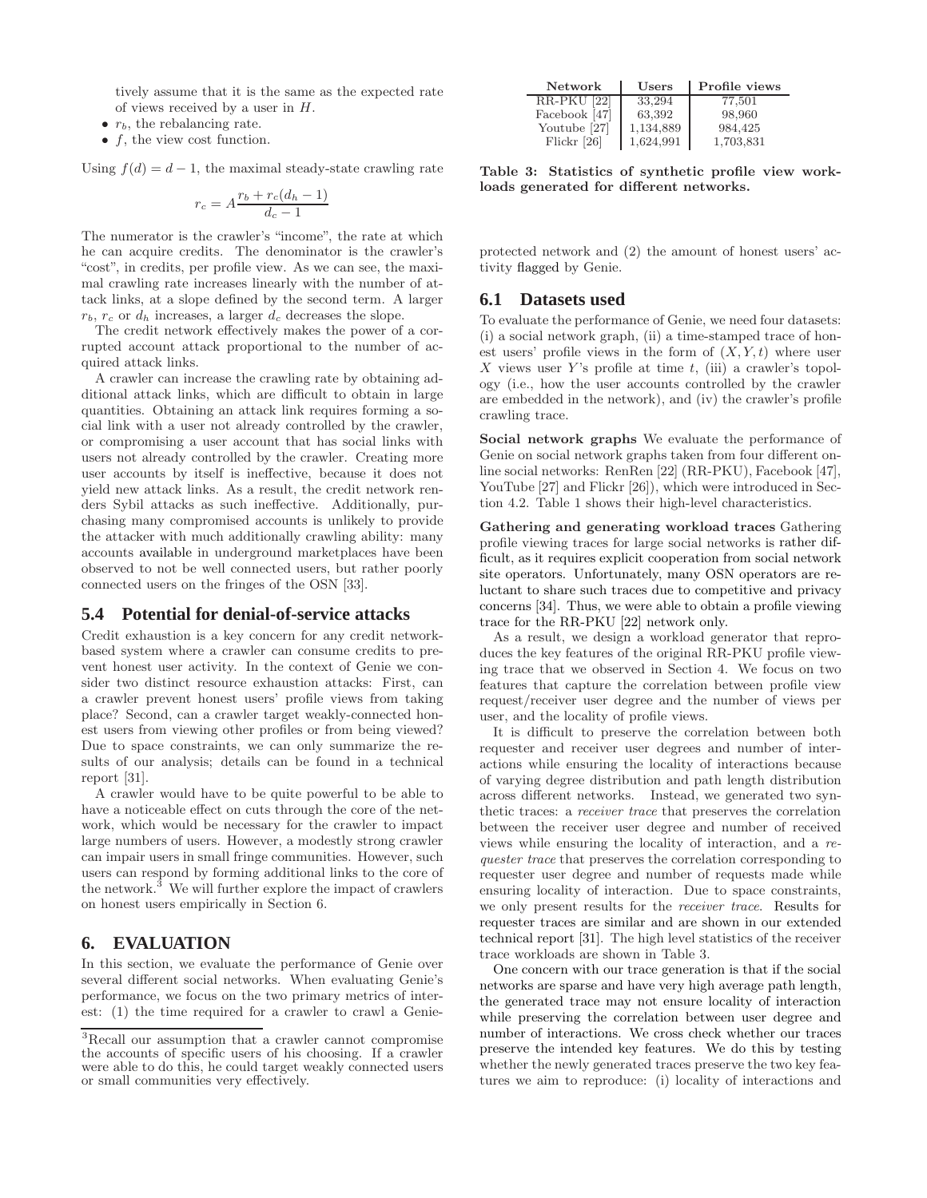tively assume that it is the same as the expected rate of views received by a user in H.

- $r_b$ , the rebalancing rate.
- $f$ , the view cost function.

Using  $f(d) = d - 1$ , the maximal steady-state crawling rate

$$
r_c = A \frac{r_b + r_c(d_h - 1)}{d_c - 1}
$$

The numerator is the crawler's "income", the rate at which he can acquire credits. The denominator is the crawler's "cost", in credits, per profile view. As we can see, the maximal crawling rate increases linearly with the number of attack links, at a slope defined by the second term. A larger  $r_b$ ,  $r_c$  or  $d_h$  increases, a larger  $d_c$  decreases the slope.

The credit network effectively makes the power of a corrupted account attack proportional to the number of acquired attack links.

A crawler can increase the crawling rate by obtaining additional attack links, which are difficult to obtain in large quantities. Obtaining an attack link requires forming a social link with a user not already controlled by the crawler, or compromising a user account that has social links with users not already controlled by the crawler. Creating more user accounts by itself is ineffective, because it does not yield new attack links. As a result, the credit network renders Sybil attacks as such ineffective. Additionally, purchasing many compromised accounts is unlikely to provide the attacker with much additionally crawling ability: many accounts available in underground marketplaces have been observed to not be well connected users, but rather poorly connected users on the fringes of the OSN [33].

#### **5.4 Potential for denial-of-service attacks**

Credit exhaustion is a key concern for any credit networkbased system where a crawler can consume credits to prevent honest user activity. In the context of Genie we consider two distinct resource exhaustion attacks: First, can a crawler prevent honest users' profile views from taking place? Second, can a crawler target weakly-connected honest users from viewing other profiles or from being viewed? Due to space constraints, we can only summarize the results of our analysis; details can be found in a technical report [31].

A crawler would have to be quite powerful to be able to have a noticeable effect on cuts through the core of the network, which would be necessary for the crawler to impact large numbers of users. However, a modestly strong crawler can impair users in small fringe communities. However, such users can respond by forming additional links to the core of the network.<sup>3</sup> We will further explore the impact of crawlers on honest users empirically in Section 6.

## **6. EVALUATION**

In this section, we evaluate the performance of Genie over several different social networks. When evaluating Genie's performance, we focus on the two primary metrics of interest: (1) the time required for a crawler to crawl a Genie-

| Network       | Users     | Profile views |
|---------------|-----------|---------------|
| $RR-PKU$ [22] | 33.294    | 77,501        |
| Facebook [47] | 63,392    | 98,960        |
| Youtube [27]  | 1,134,889 | 984,425       |
| Flickr [26]   | 1,624,991 | 1,703,831     |

Table 3: Statistics of synthetic profile view workloads generated for different networks.

protected network and (2) the amount of honest users' activity flagged by Genie.

#### **6.1 Datasets used**

To evaluate the performance of Genie, we need four datasets: (i) a social network graph, (ii) a time-stamped trace of honest users' profile views in the form of  $(X, Y, t)$  where user X views user Y's profile at time t, (iii) a crawler's topology (i.e., how the user accounts controlled by the crawler are embedded in the network), and (iv) the crawler's profile crawling trace.

Social network graphs We evaluate the performance of Genie on social network graphs taken from four different online social networks: RenRen [22] (RR-PKU), Facebook [47], YouTube [27] and Flickr [26]), which were introduced in Section 4.2. Table 1 shows their high-level characteristics.

Gathering and generating workload traces Gathering profile viewing traces for large social networks is rather difficult, as it requires explicit cooperation from social network site operators. Unfortunately, many OSN operators are reluctant to share such traces due to competitive and privacy concerns [34]. Thus, we were able to obtain a profile viewing trace for the RR-PKU [22] network only.

As a result, we design a workload generator that reproduces the key features of the original RR-PKU profile viewing trace that we observed in Section 4. We focus on two features that capture the correlation between profile view request/receiver user degree and the number of views per user, and the locality of profile views.

It is difficult to preserve the correlation between both requester and receiver user degrees and number of interactions while ensuring the locality of interactions because of varying degree distribution and path length distribution across different networks. Instead, we generated two synthetic traces: a receiver trace that preserves the correlation between the receiver user degree and number of received views while ensuring the locality of interaction, and a requester trace that preserves the correlation corresponding to requester user degree and number of requests made while ensuring locality of interaction. Due to space constraints, we only present results for the receiver trace. Results for requester traces are similar and are shown in our extended technical report [31]. The high level statistics of the receiver trace workloads are shown in Table 3.

One concern with our trace generation is that if the social networks are sparse and have very high average path length, the generated trace may not ensure locality of interaction while preserving the correlation between user degree and number of interactions. We cross check whether our traces preserve the intended key features. We do this by testing whether the newly generated traces preserve the two key features we aim to reproduce: (i) locality of interactions and

<sup>3</sup>Recall our assumption that a crawler cannot compromise the accounts of specific users of his choosing. If a crawler were able to do this, he could target weakly connected users or small communities very effectively.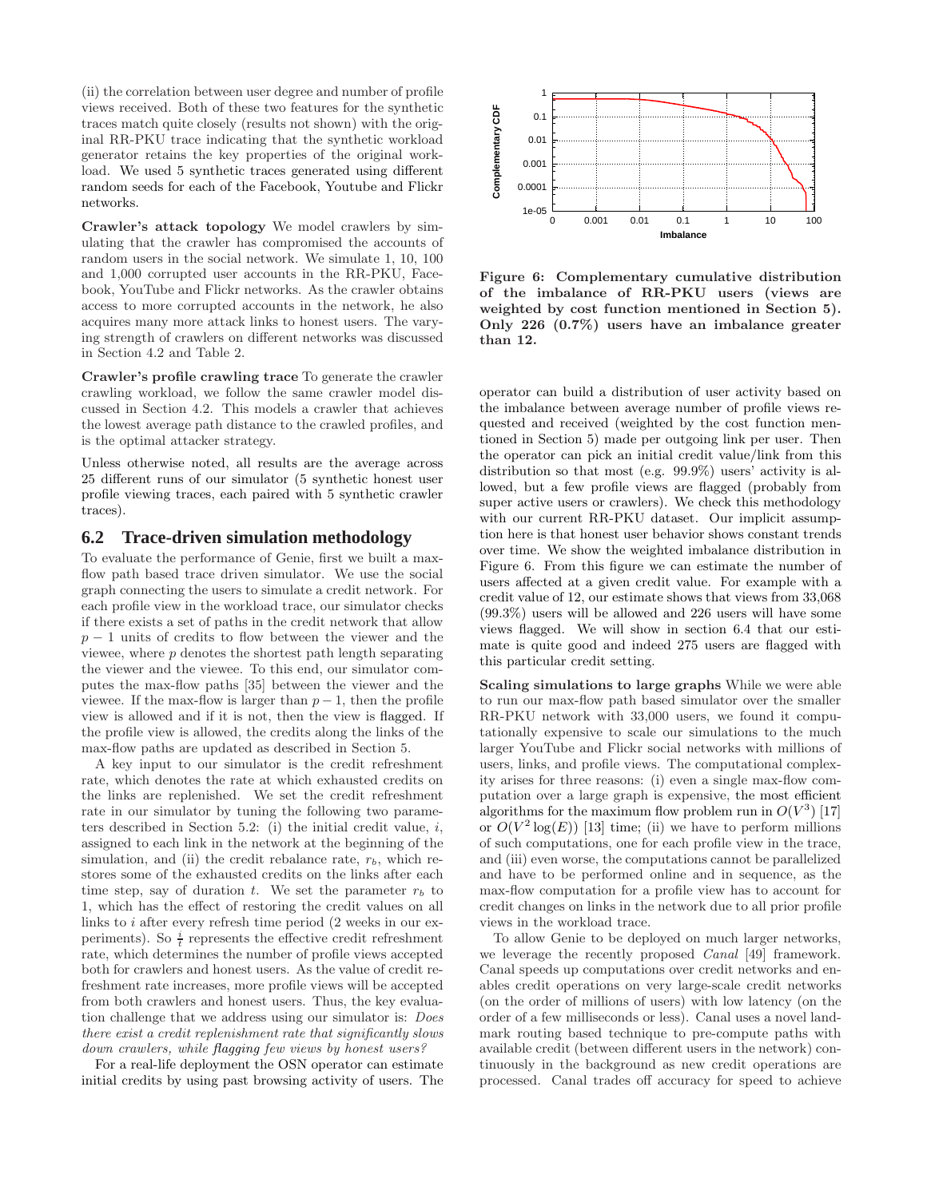(ii) the correlation between user degree and number of profile views received. Both of these two features for the synthetic traces match quite closely (results not shown) with the original RR-PKU trace indicating that the synthetic workload generator retains the key properties of the original workload. We used 5 synthetic traces generated using different random seeds for each of the Facebook, Youtube and Flickr networks.

Crawler's attack topology We model crawlers by simulating that the crawler has compromised the accounts of random users in the social network. We simulate 1, 10, 100 and 1,000 corrupted user accounts in the RR-PKU, Facebook, YouTube and Flickr networks. As the crawler obtains access to more corrupted accounts in the network, he also acquires many more attack links to honest users. The varying strength of crawlers on different networks was discussed in Section 4.2 and Table 2.

Crawler's profile crawling trace To generate the crawler crawling workload, we follow the same crawler model discussed in Section 4.2. This models a crawler that achieves the lowest average path distance to the crawled profiles, and is the optimal attacker strategy.

Unless otherwise noted, all results are the average across 25 different runs of our simulator (5 synthetic honest user profile viewing traces, each paired with 5 synthetic crawler traces).

#### **6.2 Trace-driven simulation methodology**

To evaluate the performance of Genie, first we built a maxflow path based trace driven simulator. We use the social graph connecting the users to simulate a credit network. For each profile view in the workload trace, our simulator checks if there exists a set of paths in the credit network that allow  $p-1$  units of credits to flow between the viewer and the viewee, where p denotes the shortest path length separating the viewer and the viewee. To this end, our simulator computes the max-flow paths [35] between the viewer and the viewee. If the max-flow is larger than  $p-1$ , then the profile view is allowed and if it is not, then the view is flagged. If the profile view is allowed, the credits along the links of the max-flow paths are updated as described in Section 5.

A key input to our simulator is the credit refreshment rate, which denotes the rate at which exhausted credits on the links are replenished. We set the credit refreshment rate in our simulator by tuning the following two parameters described in Section 5.2: (i) the initial credit value,  $i$ , assigned to each link in the network at the beginning of the simulation, and (ii) the credit rebalance rate,  $r_b$ , which restores some of the exhausted credits on the links after each time step, say of duration t. We set the parameter  $r<sub>b</sub>$  to 1, which has the effect of restoring the credit values on all links to *i* after every refresh time period (2 weeks in our experiments). So  $\frac{i}{t}$  represents the effective credit refreshment rate, which determines the number of profile views accepted both for crawlers and honest users. As the value of credit refreshment rate increases, more profile views will be accepted from both crawlers and honest users. Thus, the key evaluation challenge that we address using our simulator is: Does there exist a credit replenishment rate that significantly slows down crawlers, while flagging few views by honest users?

For a real-life deployment the OSN operator can estimate initial credits by using past browsing activity of users. The



Figure 6: Complementary cumulative distribution of the imbalance of RR-PKU users (views are weighted by cost function mentioned in Section 5). Only 226 (0.7%) users have an imbalance greater than 12.

operator can build a distribution of user activity based on the imbalance between average number of profile views requested and received (weighted by the cost function mentioned in Section 5) made per outgoing link per user. Then the operator can pick an initial credit value/link from this distribution so that most (e.g. 99.9%) users' activity is allowed, but a few profile views are flagged (probably from super active users or crawlers). We check this methodology with our current RR-PKU dataset. Our implicit assumption here is that honest user behavior shows constant trends over time. We show the weighted imbalance distribution in Figure 6. From this figure we can estimate the number of users affected at a given credit value. For example with a credit value of 12, our estimate shows that views from 33,068 (99.3%) users will be allowed and 226 users will have some views flagged. We will show in section 6.4 that our estimate is quite good and indeed 275 users are flagged with this particular credit setting.

Scaling simulations to large graphs While we were able to run our max-flow path based simulator over the smaller RR-PKU network with 33,000 users, we found it computationally expensive to scale our simulations to the much larger YouTube and Flickr social networks with millions of users, links, and profile views. The computational complexity arises for three reasons: (i) even a single max-flow computation over a large graph is expensive, the most efficient algorithms for the maximum flow problem run in  $O(V^3)$  [17] or  $O(V^2 \log(E))$  [13] time; (ii) we have to perform millions of such computations, one for each profile view in the trace, and (iii) even worse, the computations cannot be parallelized and have to be performed online and in sequence, as the max-flow computation for a profile view has to account for credit changes on links in the network due to all prior profile views in the workload trace.

To allow Genie to be deployed on much larger networks, we leverage the recently proposed Canal [49] framework. Canal speeds up computations over credit networks and enables credit operations on very large-scale credit networks (on the order of millions of users) with low latency (on the order of a few milliseconds or less). Canal uses a novel landmark routing based technique to pre-compute paths with available credit (between different users in the network) continuously in the background as new credit operations are processed. Canal trades off accuracy for speed to achieve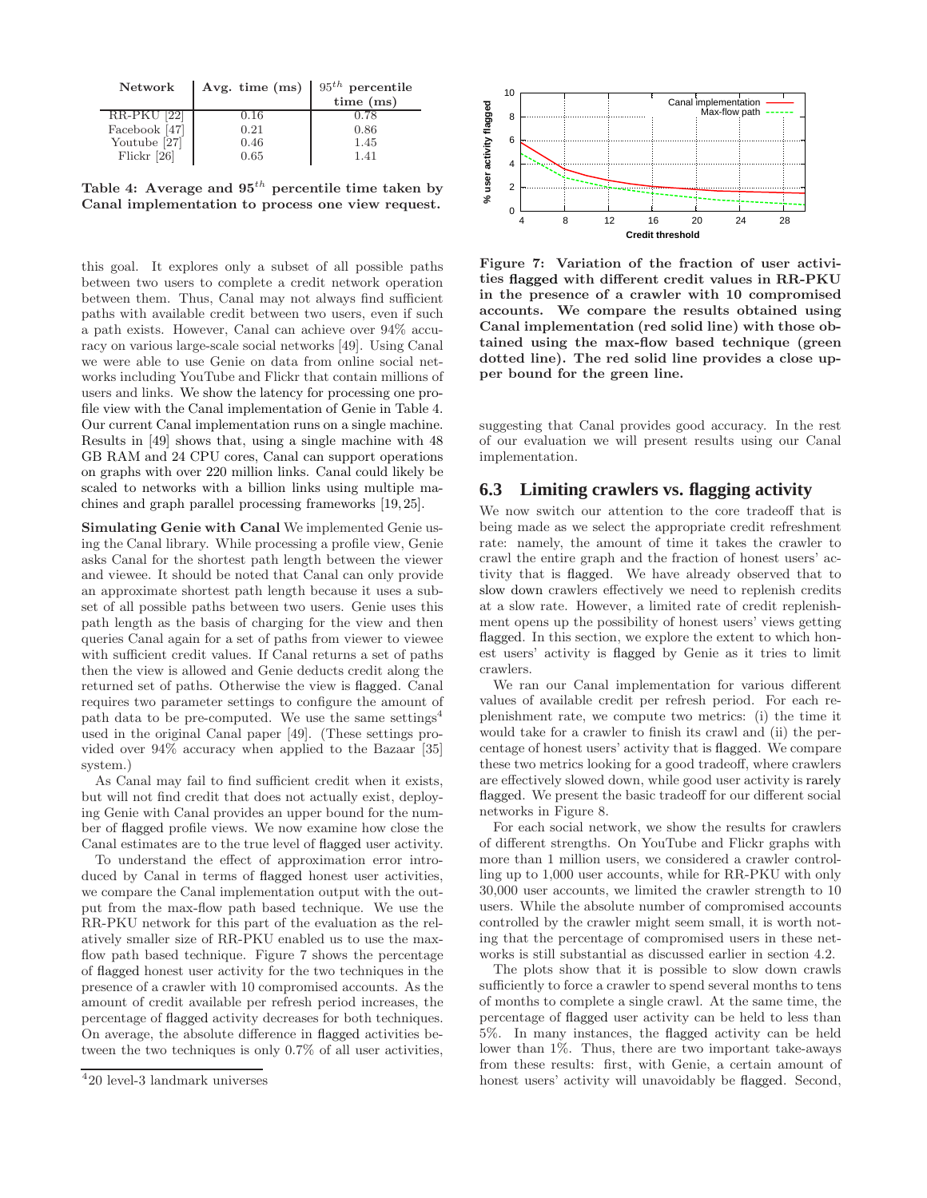| Network            | Avg. time $(ms)$ | $95th$ percentile<br>time (ms) |
|--------------------|------------------|--------------------------------|
|                    |                  |                                |
| <b>RR-PKU</b> [22] | 0.16             | 0.78                           |
| Facebook [47]      | 0.21             | 0.86                           |
| Youtube [27]       | 0.46             | 1.45                           |
| Flickr [26]        | 0.65             | 141                            |

Table 4: Average and  $95^{th}$  percentile time taken by Canal implementation to process one view request.

this goal. It explores only a subset of all possible paths between two users to complete a credit network operation between them. Thus, Canal may not always find sufficient paths with available credit between two users, even if such a path exists. However, Canal can achieve over 94% accuracy on various large-scale social networks [49]. Using Canal we were able to use Genie on data from online social networks including YouTube and Flickr that contain millions of users and links. We show the latency for processing one profile view with the Canal implementation of Genie in Table 4. Our current Canal implementation runs on a single machine. Results in [49] shows that, using a single machine with 48 GB RAM and 24 CPU cores, Canal can support operations on graphs with over 220 million links. Canal could likely be scaled to networks with a billion links using multiple machines and graph parallel processing frameworks [19, 25].

Simulating Genie with Canal We implemented Genie using the Canal library. While processing a profile view, Genie asks Canal for the shortest path length between the viewer and viewee. It should be noted that Canal can only provide an approximate shortest path length because it uses a subset of all possible paths between two users. Genie uses this path length as the basis of charging for the view and then queries Canal again for a set of paths from viewer to viewee with sufficient credit values. If Canal returns a set of paths then the view is allowed and Genie deducts credit along the returned set of paths. Otherwise the view is flagged. Canal requires two parameter settings to configure the amount of path data to be pre-computed. We use the same settings<sup>4</sup> used in the original Canal paper [49]. (These settings provided over 94% accuracy when applied to the Bazaar [35] system.)

As Canal may fail to find sufficient credit when it exists, but will not find credit that does not actually exist, deploying Genie with Canal provides an upper bound for the number of flagged profile views. We now examine how close the Canal estimates are to the true level of flagged user activity.

To understand the effect of approximation error introduced by Canal in terms of flagged honest user activities, we compare the Canal implementation output with the output from the max-flow path based technique. We use the RR-PKU network for this part of the evaluation as the relatively smaller size of RR-PKU enabled us to use the maxflow path based technique. Figure 7 shows the percentage of flagged honest user activity for the two techniques in the presence of a crawler with 10 compromised accounts. As the amount of credit available per refresh period increases, the percentage of flagged activity decreases for both techniques. On average, the absolute difference in flagged activities between the two techniques is only 0.7% of all user activities,



Figure 7: Variation of the fraction of user activities flagged with different credit values in RR-PKU in the presence of a crawler with 10 compromised accounts. We compare the results obtained using Canal implementation (red solid line) with those obtained using the max-flow based technique (green dotted line). The red solid line provides a close upper bound for the green line.

suggesting that Canal provides good accuracy. In the rest of our evaluation we will present results using our Canal implementation.

## **6.3 Limiting crawlers vs. flagging activity**

We now switch our attention to the core tradeoff that is being made as we select the appropriate credit refreshment rate: namely, the amount of time it takes the crawler to crawl the entire graph and the fraction of honest users' activity that is flagged. We have already observed that to slow down crawlers effectively we need to replenish credits at a slow rate. However, a limited rate of credit replenishment opens up the possibility of honest users' views getting flagged. In this section, we explore the extent to which honest users' activity is flagged by Genie as it tries to limit crawlers.

We ran our Canal implementation for various different values of available credit per refresh period. For each replenishment rate, we compute two metrics: (i) the time it would take for a crawler to finish its crawl and (ii) the percentage of honest users' activity that is flagged. We compare these two metrics looking for a good tradeoff, where crawlers are effectively slowed down, while good user activity is rarely flagged. We present the basic tradeoff for our different social networks in Figure 8.

For each social network, we show the results for crawlers of different strengths. On YouTube and Flickr graphs with more than 1 million users, we considered a crawler controlling up to 1,000 user accounts, while for RR-PKU with only 30,000 user accounts, we limited the crawler strength to 10 users. While the absolute number of compromised accounts controlled by the crawler might seem small, it is worth noting that the percentage of compromised users in these networks is still substantial as discussed earlier in section 4.2.

The plots show that it is possible to slow down crawls sufficiently to force a crawler to spend several months to tens of months to complete a single crawl. At the same time, the percentage of flagged user activity can be held to less than 5%. In many instances, the flagged activity can be held lower than 1%. Thus, there are two important take-aways from these results: first, with Genie, a certain amount of honest users' activity will unavoidably be flagged. Second,

<sup>4</sup> 20 level-3 landmark universes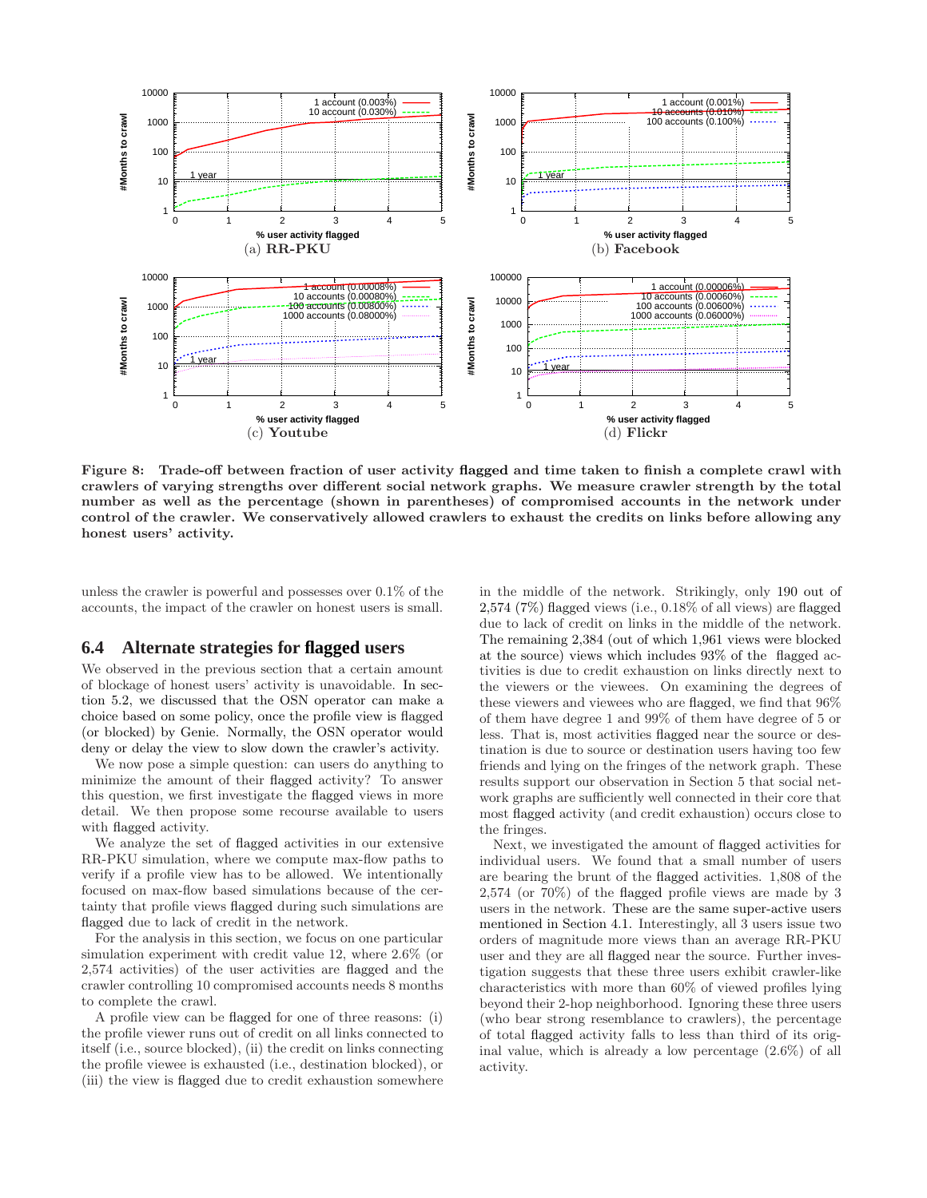

Figure 8: Trade-off between fraction of user activity flagged and time taken to finish a complete crawl with crawlers of varying strengths over different social network graphs. We measure crawler strength by the total number as well as the percentage (shown in parentheses) of compromised accounts in the network under control of the crawler. We conservatively allowed crawlers to exhaust the credits on links before allowing any honest users' activity.

unless the crawler is powerful and possesses over 0.1% of the accounts, the impact of the crawler on honest users is small.

## **6.4 Alternate strategies for flagged users**

We observed in the previous section that a certain amount of blockage of honest users' activity is unavoidable. In section 5.2, we discussed that the OSN operator can make a choice based on some policy, once the profile view is flagged (or blocked) by Genie. Normally, the OSN operator would deny or delay the view to slow down the crawler's activity.

We now pose a simple question: can users do anything to minimize the amount of their flagged activity? To answer this question, we first investigate the flagged views in more detail. We then propose some recourse available to users with flagged activity.

We analyze the set of flagged activities in our extensive RR-PKU simulation, where we compute max-flow paths to verify if a profile view has to be allowed. We intentionally focused on max-flow based simulations because of the certainty that profile views flagged during such simulations are flagged due to lack of credit in the network.

For the analysis in this section, we focus on one particular simulation experiment with credit value 12, where 2.6% (or 2,574 activities) of the user activities are flagged and the crawler controlling 10 compromised accounts needs 8 months to complete the crawl.

A profile view can be flagged for one of three reasons: (i) the profile viewer runs out of credit on all links connected to itself (i.e., source blocked), (ii) the credit on links connecting the profile viewee is exhausted (i.e., destination blocked), or (iii) the view is flagged due to credit exhaustion somewhere

in the middle of the network. Strikingly, only 190 out of 2,574 (7%) flagged views (i.e., 0.18% of all views) are flagged due to lack of credit on links in the middle of the network. The remaining 2,384 (out of which 1,961 views were blocked at the source) views which includes 93% of the flagged activities is due to credit exhaustion on links directly next to the viewers or the viewees. On examining the degrees of these viewers and viewees who are flagged, we find that 96% of them have degree 1 and 99% of them have degree of 5 or less. That is, most activities flagged near the source or destination is due to source or destination users having too few friends and lying on the fringes of the network graph. These results support our observation in Section 5 that social network graphs are sufficiently well connected in their core that most flagged activity (and credit exhaustion) occurs close to the fringes.

Next, we investigated the amount of flagged activities for individual users. We found that a small number of users are bearing the brunt of the flagged activities. 1,808 of the 2,574 (or 70%) of the flagged profile views are made by 3 users in the network. These are the same super-active users mentioned in Section 4.1. Interestingly, all 3 users issue two orders of magnitude more views than an average RR-PKU user and they are all flagged near the source. Further investigation suggests that these three users exhibit crawler-like characteristics with more than 60% of viewed profiles lying beyond their 2-hop neighborhood. Ignoring these three users (who bear strong resemblance to crawlers), the percentage of total flagged activity falls to less than third of its original value, which is already a low percentage (2.6%) of all activity.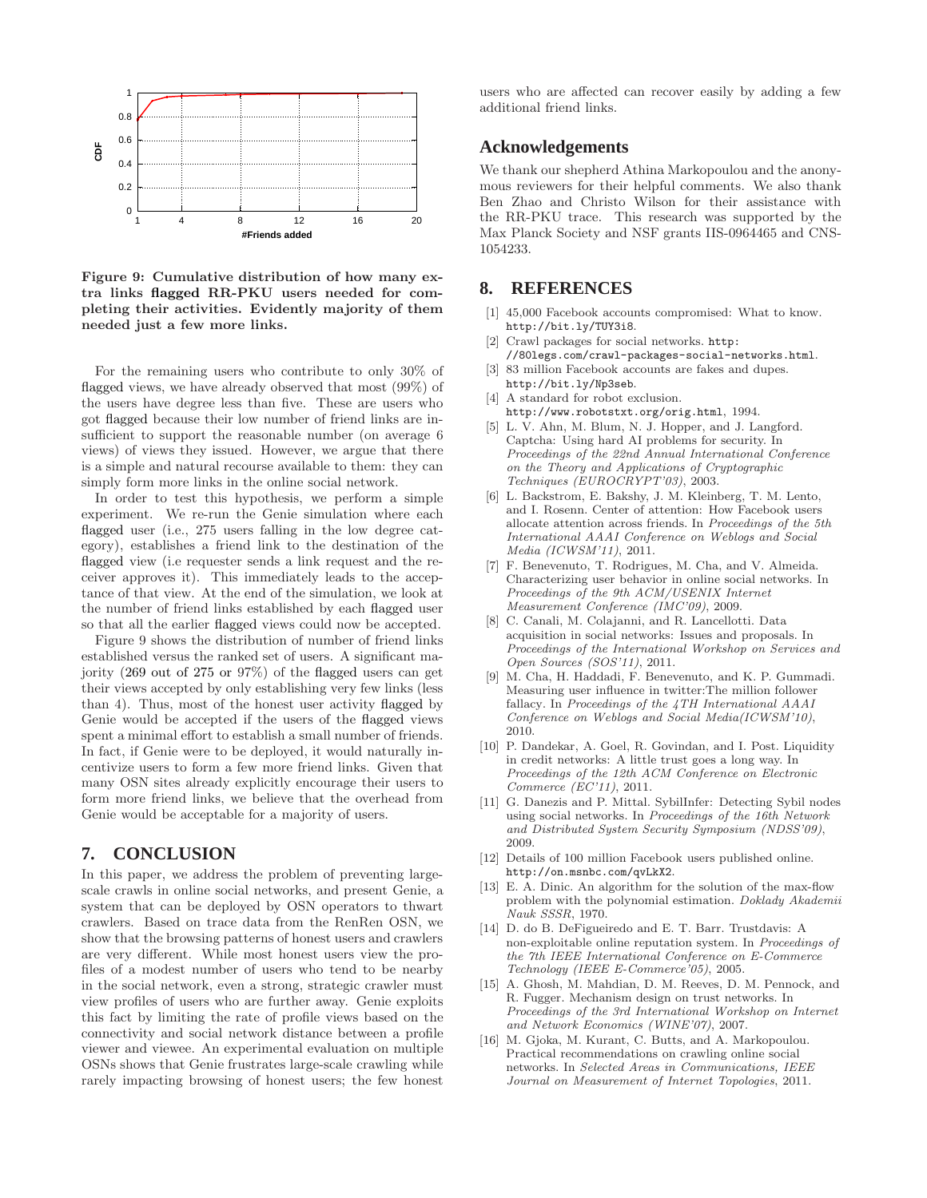

Figure 9: Cumulative distribution of how many extra links flagged RR-PKU users needed for completing their activities. Evidently majority of them needed just a few more links.

For the remaining users who contribute to only 30% of flagged views, we have already observed that most (99%) of the users have degree less than five. These are users who got flagged because their low number of friend links are insufficient to support the reasonable number (on average 6 views) of views they issued. However, we argue that there is a simple and natural recourse available to them: they can simply form more links in the online social network.

In order to test this hypothesis, we perform a simple experiment. We re-run the Genie simulation where each flagged user (i.e., 275 users falling in the low degree category), establishes a friend link to the destination of the flagged view (i.e requester sends a link request and the receiver approves it). This immediately leads to the acceptance of that view. At the end of the simulation, we look at the number of friend links established by each flagged user so that all the earlier flagged views could now be accepted.

Figure 9 shows the distribution of number of friend links established versus the ranked set of users. A significant majority (269 out of 275 or 97%) of the flagged users can get their views accepted by only establishing very few links (less than 4). Thus, most of the honest user activity flagged by Genie would be accepted if the users of the flagged views spent a minimal effort to establish a small number of friends. In fact, if Genie were to be deployed, it would naturally incentivize users to form a few more friend links. Given that many OSN sites already explicitly encourage their users to form more friend links, we believe that the overhead from Genie would be acceptable for a majority of users.

#### **7. CONCLUSION**

In this paper, we address the problem of preventing largescale crawls in online social networks, and present Genie, a system that can be deployed by OSN operators to thwart crawlers. Based on trace data from the RenRen OSN, we show that the browsing patterns of honest users and crawlers are very different. While most honest users view the profiles of a modest number of users who tend to be nearby in the social network, even a strong, strategic crawler must view profiles of users who are further away. Genie exploits this fact by limiting the rate of profile views based on the connectivity and social network distance between a profile viewer and viewee. An experimental evaluation on multiple OSNs shows that Genie frustrates large-scale crawling while rarely impacting browsing of honest users; the few honest

users who are affected can recover easily by adding a few additional friend links.

## **Acknowledgements**

We thank our shepherd Athina Markopoulou and the anonymous reviewers for their helpful comments. We also thank Ben Zhao and Christo Wilson for their assistance with the RR-PKU trace. This research was supported by the Max Planck Society and NSF grants IIS-0964465 and CNS-1054233.

## **8. REFERENCES**

- [1] 45,000 Facebook accounts compromised: What to know. http://bit.ly/TUY3i8.
- [2] Crawl packages for social networks. http:
- //80legs.com/crawl-packages-social-networks.html. [3] 83 million Facebook accounts are fakes and dupes.
- http://bit.ly/Np3seb. A standard for robot exclusion.
- http://www.robotstxt.org/orig.html, 1994.
- [5] L. V. Ahn, M. Blum, N. J. Hopper, and J. Langford. Captcha: Using hard AI problems for security. In Proceedings of the 22nd Annual International Conference on the Theory and Applications of Cryptographic Techniques (EUROCRYPT'03), 2003.
- [6] L. Backstrom, E. Bakshy, J. M. Kleinberg, T. M. Lento, and I. Rosenn. Center of attention: How Facebook users allocate attention across friends. In Proceedings of the 5th International AAAI Conference on Weblogs and Social Media (ICWSM'11), 2011.
- [7] F. Benevenuto, T. Rodrigues, M. Cha, and V. Almeida. Characterizing user behavior in online social networks. In Proceedings of the 9th ACM/USENIX Internet Measurement Conference (IMC'09), 2009.
- [8] C. Canali, M. Colajanni, and R. Lancellotti. Data acquisition in social networks: Issues and proposals. In Proceedings of the International Workshop on Services and Open Sources (SOS'11), 2011.
- [9] M. Cha, H. Haddadi, F. Benevenuto, and K. P. Gummadi. Measuring user influence in twitter:The million follower fallacy. In Proceedings of the 4TH International AAAI Conference on Weblogs and Social Media(ICWSM'10), 2010.
- [10] P. Dandekar, A. Goel, R. Govindan, and I. Post. Liquidity in credit networks: A little trust goes a long way. In Proceedings of the 12th ACM Conference on Electronic Commerce (EC'11), 2011.
- [11] G. Danezis and P. Mittal. SybilInfer: Detecting Sybil nodes using social networks. In Proceedings of the 16th Network and Distributed System Security Symposium (NDSS'09), 2009.
- [12] Details of 100 million Facebook users published online. http://on.msnbc.com/qvLkX2.
- [13] E. A. Dinic. An algorithm for the solution of the max-flow problem with the polynomial estimation. Doklady Akademii Nauk SSSR, 1970.
- [14] D. do B. DeFigueiredo and E. T. Barr. Trustdavis: A non-exploitable online reputation system. In Proceedings of the 7th IEEE International Conference on E-Commerce Technology (IEEE E-Commerce'05), 2005.
- [15] A. Ghosh, M. Mahdian, D. M. Reeves, D. M. Pennock, and R. Fugger. Mechanism design on trust networks. In Proceedings of the 3rd International Workshop on Internet and Network Economics (WINE'07), 2007.
- [16] M. Gjoka, M. Kurant, C. Butts, and A. Markopoulou. Practical recommendations on crawling online social networks. In Selected Areas in Communications, IEEE Journal on Measurement of Internet Topologies, 2011.